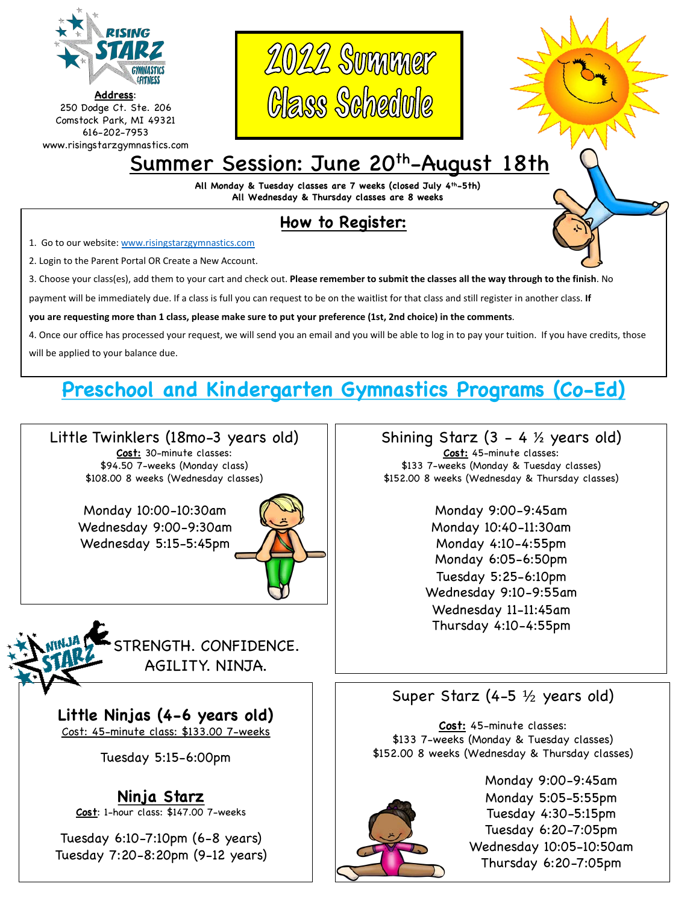

**Address**: 250 Dodge Ct. Ste. 206 Comstock Park, MI 49321 616-202-7953 www.risingstarzgymnastics.com





# Summer Session: June 20<sup>th</sup>-August 18th

**All Monday & Tuesday classes are 7 weeks (closed July 4th-5th) All Wednesday & Thursday classes are 8 weeks**

## **How to Register:**

1. Go to our website: [www.risingstarzgymnastics.com](http://www.risingstarzgymnastics.com/)

2. Login to the Parent Portal OR Create a New Account.

3. Choose your class(es), add them to your cart and check out. **Please remember to submit the classes all the way through to the finish**. No

payment will be immediately due. If a class is full you can request to be on the waitlist for that class and still register in another class. **If**

**you are requesting more than 1 class, please make sure to put your preference (1st, 2nd choice) in the comments**.

4. Once our office has processed your request, we will send you an email and you will be able to log in to pay your tuition. If you have credits, those will be applied to your balance due.

## **Preschool and Kindergarten Gymnastics Programs (Co-Ed)**

Little Twinklers (18mo-3 years old) **Cost:** 30-minute classes: \$94.50 7-weeks (Monday class) \$108.00 8 weeks (Wednesday classes)

> Monday 10:00-10:30am Wednesday 9:00-9:30am Wednesday 5:15-5:45pm





**Little Ninjas (4-6 years old)** Cost: 45-minute class: \$133.00 7-weeks

Tuesday 5:15-6:00pm

## **Ninja Starz**

**Cost**: 1-hour class: \$147.00 7-weeks

Tuesday 6:10-7:10pm (6-8 years) Tuesday 7:20-8:20pm (9-12 years) Shining Starz  $(3 - 4 \frac{1}{2})$  years old) **Cost:** 45-minute classes: \$133 7-weeks (Monday & Tuesday classes) \$152.00 8 weeks (Wednesday & Thursday classes)

> Monday 9:00-9:45am Monday 10:40-11:30am Monday 4:10-4:55pm Monday 6:05-6:50pm Tuesday 5:25-6:10pm Wednesday 9:10-9:55am Wednesday 11-11:45am Thursday 4:10-4:55pm

## Super Starz (4-5 ½ years old)

**Cost:** 45-minute classes: \$133 7-weeks (Monday & Tuesday classes) \$152.00 8 weeks (Wednesday & Thursday classes)



Monday 9:00-9:45am Monday 5:05-5:55pm Tuesday 4:30-5:15pm Tuesday 6:20-7:05pm Wednesday 10:05-10:50am Thursday 6:20-7:05pm